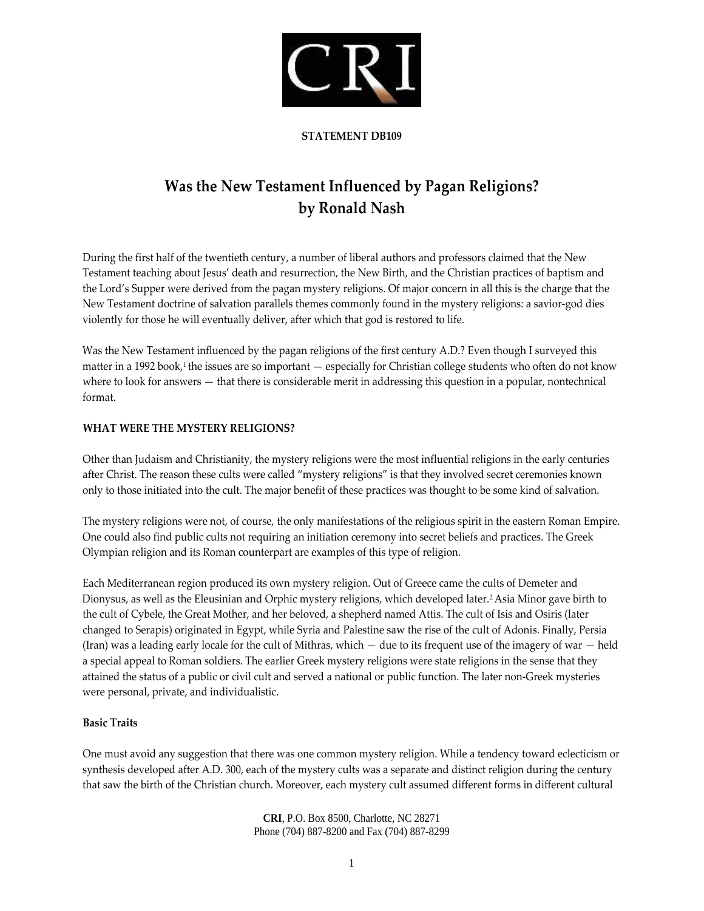

# **STATEMENT DB109**

# **Was the New Testament Influenced by Pagan Religions? by Ronald Nash**

During the first half of the twentieth century, a number of liberal authors and professors claimed that the New Testament teaching about Jesus' death and resurrection, the New Birth, and the Christian practices of baptism and the Lord's Supper were derived from the pagan mystery religions. Of major concern in all this is the charge that the New Testament doctrine of salvation parallels themes commonly found in the mystery religions: a savior‐god dies violently for those he will eventually deliver, after which that god is restored to life.

Was the New Testament influenced by the pagan religions of the first century A.D.? Even though I surveyed this matter in a 1992 book,<sup>1</sup> the issues are so important  $-$  especially for Christian college students who often do not know where to look for answers — that there is considerable merit in addressing this question in a popular, nontechnical format.

## **WHAT WERE THE MYSTERY RELIGIONS?**

Other than Judaism and Christianity, the mystery religions were the most influential religions in the early centuries after Christ. The reason these cults were called "mystery religions" is that they involved secret ceremonies known only to those initiated into the cult. The major benefit of these practices was thought to be some kind of salvation.

The mystery religions were not, of course, the only manifestations of the religious spirit in the eastern Roman Empire. One could also find public cults not requiring an initiation ceremony into secret beliefs and practices. The Greek Olympian religion and its Roman counterpart are examples of this type of religion.

Each Mediterranean region produced its own mystery religion. Out of Greece came the cults of Demeter and Dionysus, as well as the Eleusinian and Orphic mystery religions, which developed later.2 Asia Minor gave birth to the cult of Cybele, the Great Mother, and her beloved, a shepherd named Attis. The cult of Isis and Osiris (later changed to Serapis) originated in Egypt, while Syria and Palestine saw the rise of the cult of Adonis. Finally, Persia (Iran) was a leading early locale for the cult of Mithras, which — due to its frequent use of the imagery of war — held a special appeal to Roman soldiers. The earlier Greek mystery religions were state religions in the sense that they attained the status of a public or civil cult and served a national or public function. The later non‐Greek mysteries were personal, private, and individualistic.

## **Basic Traits**

One must avoid any suggestion that there was one common mystery religion. While a tendency toward eclecticism or synthesis developed after A.D. 300, each of the mystery cults was a separate and distinct religion during the century that saw the birth of the Christian church. Moreover, each mystery cult assumed different forms in different cultural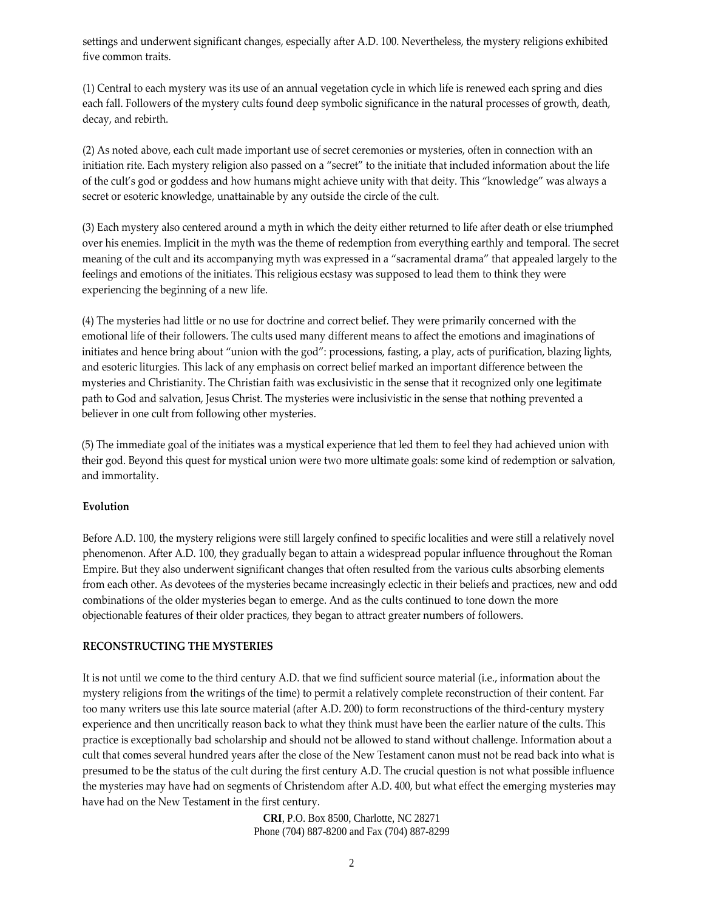settings and underwent significant changes, especially after A.D. 100. Nevertheless, the mystery religions exhibited five common traits.

(1) Central to each mystery was its use of an annual vegetation cycle in which life is renewed each spring and dies each fall. Followers of the mystery cults found deep symbolic significance in the natural processes of growth, death, decay, and rebirth.

(2) As noted above, each cult made important use of secret ceremonies or mysteries, often in connection with an initiation rite. Each mystery religion also passed on a "secret" to the initiate that included information about the life of the cult's god or goddess and how humans might achieve unity with that deity. This "knowledge" was always a secret or esoteric knowledge, unattainable by any outside the circle of the cult.

(3) Each mystery also centered around a myth in which the deity either returned to life after death or else triumphed over his enemies. Implicit in the myth was the theme of redemption from everything earthly and temporal. The secret meaning of the cult and its accompanying myth was expressed in a "sacramental drama" that appealed largely to the feelings and emotions of the initiates. This religious ecstasy was supposed to lead them to think they were experiencing the beginning of a new life.

(4) The mysteries had little or no use for doctrine and correct belief. They were primarily concerned with the emotional life of their followers. The cults used many different means to affect the emotions and imaginations of initiates and hence bring about "union with the god": processions, fasting, a play, acts of purification, blazing lights, and esoteric liturgies. This lack of any emphasis on correct belief marked an important difference between the mysteries and Christianity. The Christian faith was exclusivistic in the sense that it recognized only one legitimate path to God and salvation, Jesus Christ. The mysteries were inclusivistic in the sense that nothing prevented a believer in one cult from following other mysteries.

(5) The immediate goal of the initiates was a mystical experience that led them to feel they had achieved union with their god. Beyond this quest for mystical union were two more ultimate goals: some kind of redemption or salvation, and immortality.

## **Evolution**

Before A.D. 100, the mystery religions were still largely confined to specific localities and were still a relatively novel phenomenon. After A.D. 100, they gradually began to attain a widespread popular influence throughout the Roman Empire. But they also underwent significant changes that often resulted from the various cults absorbing elements from each other. As devotees of the mysteries became increasingly eclectic in their beliefs and practices, new and odd combinations of the older mysteries began to emerge. And as the cults continued to tone down the more objectionable features of their older practices, they began to attract greater numbers of followers.

#### **RECONSTRUCTING THE MYSTERIES**

It is not until we come to the third century A.D. that we find sufficient source material (i.e., information about the mystery religions from the writings of the time) to permit a relatively complete reconstruction of their content. Far too many writers use this late source material (after A.D. 200) to form reconstructions of the third-century mystery experience and then uncritically reason back to what they think must have been the earlier nature of the cults. This practice is exceptionally bad scholarship and should not be allowed to stand without challenge. Information about a cult that comes several hundred years after the close of the New Testament canon must not be read back into what is presumed to be the status of the cult during the first century A.D. The crucial question is not what possible influence the mysteries may have had on segments of Christendom after A.D. 400, but what effect the emerging mysteries may have had on the New Testament in the first century.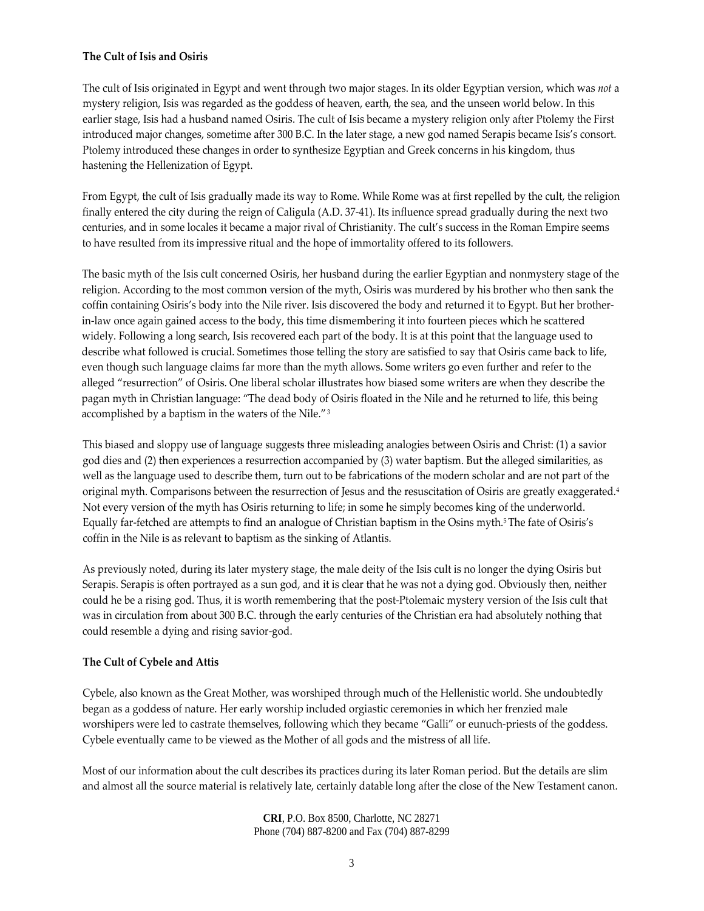# **The Cult of Isis and Osiris**

The cult of Isis originated in Egypt and went through two major stages. In its older Egyptian version, which was *not* a mystery religion, Isis was regarded as the goddess of heaven, earth, the sea, and the unseen world below. In this earlier stage, Isis had a husband named Osiris. The cult of Isis became a mystery religion only after Ptolemy the First introduced major changes, sometime after 300 B.C. In the later stage, a new god named Serapis became Isis's consort. Ptolemy introduced these changes in order to synthesize Egyptian and Greek concerns in his kingdom, thus hastening the Hellenization of Egypt.

From Egypt, the cult of Isis gradually made its way to Rome. While Rome was at first repelled by the cult, the religion finally entered the city during the reign of Caligula (A.D. 37‐41). Its influence spread gradually during the next two centuries, and in some locales it became a major rival of Christianity. The cult's success in the Roman Empire seems to have resulted from its impressive ritual and the hope of immortality offered to its followers.

The basic myth of the Isis cult concerned Osiris, her husband during the earlier Egyptian and nonmystery stage of the religion. According to the most common version of the myth, Osiris was murdered by his brother who then sank the coffin containing Osiris's body into the Nile river. Isis discovered the body and returned it to Egypt. But her brother‐ in‐law once again gained access to the body, this time dismembering it into fourteen pieces which he scattered widely. Following a long search, Isis recovered each part of the body. It is at this point that the language used to describe what followed is crucial. Sometimes those telling the story are satisfied to say that Osiris came back to life, even though such language claims far more than the myth allows. Some writers go even further and refer to the alleged "resurrection" of Osiris. One liberal scholar illustrates how biased some writers are when they describe the pagan myth in Christian language: "The dead body of Osiris floated in the Nile and he returned to life, this being accomplished by a baptism in the waters of the Nile."3

This biased and sloppy use of language suggests three misleading analogies between Osiris and Christ: (1) a savior god dies and (2) then experiences a resurrection accompanied by (3) water baptism. But the alleged similarities, as well as the language used to describe them, turn out to be fabrications of the modern scholar and are not part of the original myth. Comparisons between the resurrection of Jesus and the resuscitation of Osiris are greatly exaggerated.4 Not every version of the myth has Osiris returning to life; in some he simply becomes king of the underworld. Equally far-fetched are attempts to find an analogue of Christian baptism in the Osins myth.<sup>5</sup> The fate of Osiris's coffin in the Nile is as relevant to baptism as the sinking of Atlantis.

As previously noted, during its later mystery stage, the male deity of the Isis cult is no longer the dying Osiris but Serapis. Serapis is often portrayed as a sun god, and it is clear that he was not a dying god. Obviously then, neither could he be a rising god. Thus, it is worth remembering that the post-Ptolemaic mystery version of the Isis cult that was in circulation from about 300 B.C. through the early centuries of the Christian era had absolutely nothing that could resemble a dying and rising savior‐god.

# **The Cult of Cybele and Attis**

Cybele, also known as the Great Mother, was worshiped through much of the Hellenistic world. She undoubtedly began as a goddess of nature. Her early worship included orgiastic ceremonies in which her frenzied male worshipers were led to castrate themselves, following which they became "Galli" or eunuch-priests of the goddess. Cybele eventually came to be viewed as the Mother of all gods and the mistress of all life.

Most of our information about the cult describes its practices during its later Roman period. But the details are slim and almost all the source material is relatively late, certainly datable long after the close of the New Testament canon.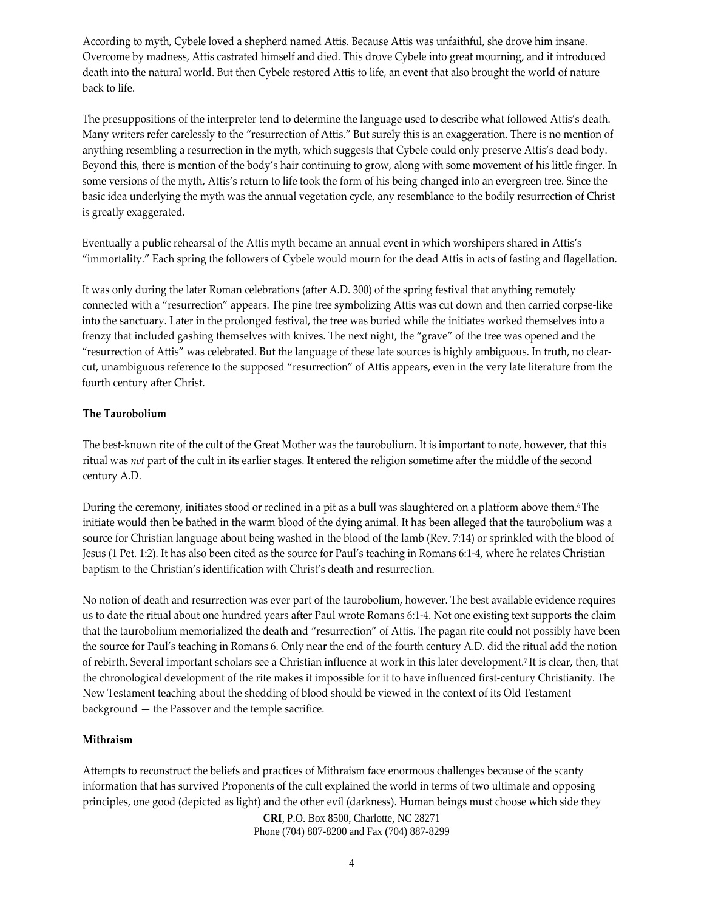According to myth, Cybele loved a shepherd named Attis. Because Attis was unfaithful, she drove him insane. Overcome by madness, Attis castrated himself and died. This drove Cybele into great mourning, and it introduced death into the natural world. But then Cybele restored Attis to life, an event that also brought the world of nature back to life.

The presuppositions of the interpreter tend to determine the language used to describe what followed Attis's death. Many writers refer carelessly to the "resurrection of Attis." But surely this is an exaggeration. There is no mention of anything resembling a resurrection in the myth, which suggests that Cybele could only preserve Attis's dead body. Beyond this, there is mention of the body's hair continuing to grow, along with some movement of his little finger. In some versions of the myth, Attis's return to life took the form of his being changed into an evergreen tree. Since the basic idea underlying the myth was the annual vegetation cycle, any resemblance to the bodily resurrection of Christ is greatly exaggerated.

Eventually a public rehearsal of the Attis myth became an annual event in which worshipers shared in Attis's "immortality." Each spring the followers of Cybele would mourn for the dead Attis in acts of fasting and flagellation.

It was only during the later Roman celebrations (after A.D. 300) of the spring festival that anything remotely connected with a "resurrection" appears. The pine tree symbolizing Attis was cut down and then carried corpse‐like into the sanctuary. Later in the prolonged festival, the tree was buried while the initiates worked themselves into a frenzy that included gashing themselves with knives. The next night, the "grave" of the tree was opened and the "resurrection of Attis" was celebrated. But the language of these late sources is highly ambiguous. In truth, no clear‐ cut, unambiguous reference to the supposed "resurrection" of Attis appears, even in the very late literature from the fourth century after Christ.

## **The Taurobolium**

The best-known rite of the cult of the Great Mother was the tauroboliurn. It is important to note, however, that this ritual was *not* part of the cult in its earlier stages. It entered the religion sometime after the middle of the second century A.D.

During the ceremony, initiates stood or reclined in a pit as a bull was slaughtered on a platform above them.<sup>6</sup> The initiate would then be bathed in the warm blood of the dying animal. It has been alleged that the taurobolium was a source for Christian language about being washed in the blood of the lamb (Rev. 7:14) or sprinkled with the blood of Jesus (1 Pet. 1:2). It has also been cited as the source for Paul's teaching in Romans 6:1‐4, where he relates Christian baptism to the Christian's identification with Christ's death and resurrection.

No notion of death and resurrection was ever part of the taurobolium, however. The best available evidence requires us to date the ritual about one hundred years after Paul wrote Romans 6:1‐4. Not one existing text supports the claim that the taurobolium memorialized the death and "resurrection" of Attis. The pagan rite could not possibly have been the source for Paul's teaching in Romans 6. Only near the end of the fourth century A.D. did the ritual add the notion of rebirth. Several important scholars see a Christian influence at work in this later development.7 It is clear, then, that the chronological development of the rite makes it impossible for it to have influenced first-century Christianity. The New Testament teaching about the shedding of blood should be viewed in the context of its Old Testament background — the Passover and the temple sacrifice.

## **Mithraism**

Attempts to reconstruct the beliefs and practices of Mithraism face enormous challenges because of the scanty information that has survived Proponents of the cult explained the world in terms of two ultimate and opposing principles, one good (depicted as light) and the other evil (darkness). Human beings must choose which side they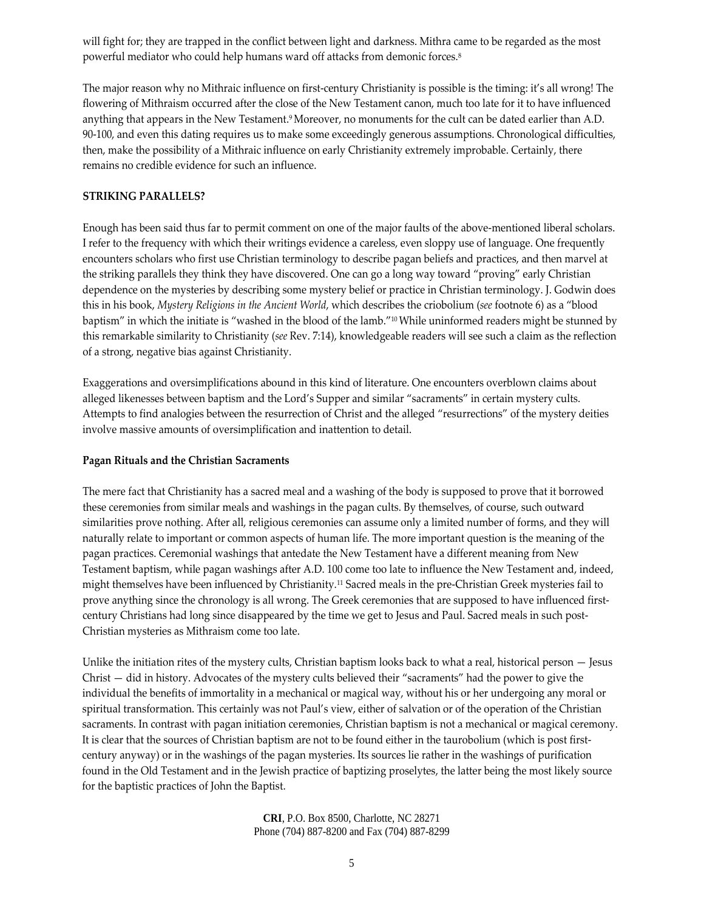will fight for; they are trapped in the conflict between light and darkness. Mithra came to be regarded as the most powerful mediator who could help humans ward off attacks from demonic forces.<sup>8</sup>

The major reason why no Mithraic influence on first-century Christianity is possible is the timing: it's all wrong! The flowering of Mithraism occurred after the close of the New Testament canon, much too late for it to have influenced anything that appears in the New Testament.9 Moreover, no monuments for the cult can be dated earlier than A.D. 90-100, and even this dating requires us to make some exceedingly generous assumptions. Chronological difficulties, then, make the possibility of a Mithraic influence on early Christianity extremely improbable. Certainly, there remains no credible evidence for such an influence.

## **STRIKING PARALLELS?**

Enough has been said thus far to permit comment on one of the major faults of the above-mentioned liberal scholars. I refer to the frequency with which their writings evidence a careless, even sloppy use of language. One frequently encounters scholars who first use Christian terminology to describe pagan beliefs and practices, and then marvel at the striking parallels they think they have discovered. One can go a long way toward "proving" early Christian dependence on the mysteries by describing some mystery belief or practice in Christian terminology. J. Godwin does this in his book, *Mystery Religions in the Ancient World*, which describes the criobolium (*see* footnote 6) as a "blood baptism" in which the initiate is "washed in the blood of the lamb."10While uninformed readers might be stunned by this remarkable similarity to Christianity (*see* Rev. 7:14), knowledgeable readers will see such a claim as the reflection of a strong, negative bias against Christianity.

Exaggerations and oversimplifications abound in this kind of literature. One encounters overblown claims about alleged likenesses between baptism and the Lord's Supper and similar "sacraments" in certain mystery cults. Attempts to find analogies between the resurrection of Christ and the alleged "resurrections" of the mystery deities involve massive amounts of oversimplification and inattention to detail.

## **Pagan Rituals and the Christian Sacraments**

The mere fact that Christianity has a sacred meal and a washing of the body is supposed to prove that it borrowed these ceremonies from similar meals and washings in the pagan cults. By themselves, of course, such outward similarities prove nothing. After all, religious ceremonies can assume only a limited number of forms, and they will naturally relate to important or common aspects of human life. The more important question is the meaning of the pagan practices. Ceremonial washings that antedate the New Testament have a different meaning from New Testament baptism, while pagan washings after A.D. 100 come too late to influence the New Testament and, indeed, might themselves have been influenced by Christianity.<sup>11</sup> Sacred meals in the pre-Christian Greek mysteries fail to prove anything since the chronology is all wrong. The Greek ceremonies that are supposed to have influenced firstcentury Christians had long since disappeared by the time we get to Jesus and Paul. Sacred meals in such post-Christian mysteries as Mithraism come too late.

Unlike the initiation rites of the mystery cults, Christian baptism looks back to what a real, historical person — Jesus Christ — did in history. Advocates of the mystery cults believed their "sacraments" had the power to give the individual the benefits of immortality in a mechanical or magical way, without his or her undergoing any moral or spiritual transformation. This certainly was not Paul's view, either of salvation or of the operation of the Christian sacraments. In contrast with pagan initiation ceremonies, Christian baptism is not a mechanical or magical ceremony. It is clear that the sources of Christian baptism are not to be found either in the taurobolium (which is post firstcentury anyway) or in the washings of the pagan mysteries. Its sources lie rather in the washings of purification found in the Old Testament and in the Jewish practice of baptizing proselytes, the latter being the most likely source for the baptistic practices of John the Baptist.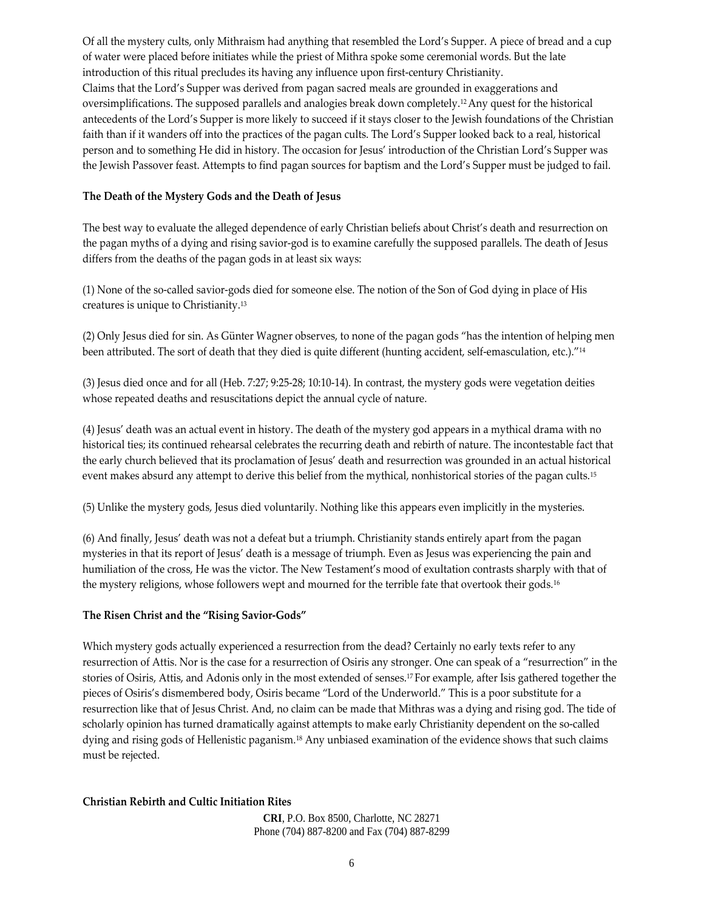Of all the mystery cults, only Mithraism had anything that resembled the Lord's Supper. A piece of bread and a cup of water were placed before initiates while the priest of Mithra spoke some ceremonial words. But the late introduction of this ritual precludes its having any influence upon first-century Christianity. Claims that the Lord's Supper was derived from pagan sacred meals are grounded in exaggerations and oversimplifications. The supposed parallels and analogies break down completely.12Any quest for the historical antecedents of the Lord's Supper is more likely to succeed if it stays closer to the Jewish foundations of the Christian faith than if it wanders off into the practices of the pagan cults. The Lord's Supper looked back to a real, historical person and to something He did in history. The occasion for Jesus' introduction of the Christian Lord's Supper was the Jewish Passover feast. Attempts to find pagan sources for baptism and the Lord's Supper must be judged to fail.

# **The Death of the Mystery Gods and the Death of Jesus**

The best way to evaluate the alleged dependence of early Christian beliefs about Christ's death and resurrection on the pagan myths of a dying and rising savior‐god is to examine carefully the supposed parallels. The death of Jesus differs from the deaths of the pagan gods in at least six ways:

(1) None of the so‐called savior‐gods died for someone else. The notion of the Son of God dying in place of His creatures is unique to Christianity.13

(2) Only Jesus died for sin. As Günter Wagner observes, to none of the pagan gods "has the intention of helping men been attributed. The sort of death that they died is quite different (hunting accident, self-emasculation, etc.)."<sup>14</sup>

(3) Jesus died once and for all (Heb. 7:27; 9:25‐28; 10:10‐14). In contrast, the mystery gods were vegetation deities whose repeated deaths and resuscitations depict the annual cycle of nature.

(4) Jesus' death was an actual event in history. The death of the mystery god appears in a mythical drama with no historical ties; its continued rehearsal celebrates the recurring death and rebirth of nature. The incontestable fact that the early church believed that its proclamation of Jesus' death and resurrection was grounded in an actual historical event makes absurd any attempt to derive this belief from the mythical, nonhistorical stories of the pagan cults.15

(5) Unlike the mystery gods, Jesus died voluntarily. Nothing like this appears even implicitly in the mysteries.

(6) And finally, Jesus' death was not a defeat but a triumph. Christianity stands entirely apart from the pagan mysteries in that its report of Jesus' death is a message of triumph. Even as Jesus was experiencing the pain and humiliation of the cross, He was the victor. The New Testament's mood of exultation contrasts sharply with that of the mystery religions, whose followers wept and mourned for the terrible fate that overtook their gods.16

# **The Risen Christ and the "Rising Savior‐Gods"**

Which mystery gods actually experienced a resurrection from the dead? Certainly no early texts refer to any resurrection of Attis. Nor is the case for a resurrection of Osiris any stronger. One can speak of a "resurrection" in the stories of Osiris, Attis, and Adonis only in the most extended of senses.17 For example, after Isis gathered together the pieces of Osiris's dismembered body, Osiris became "Lord of the Underworld." This is a poor substitute for a resurrection like that of Jesus Christ. And, no claim can be made that Mithras was a dying and rising god. The tide of scholarly opinion has turned dramatically against attempts to make early Christianity dependent on the so-called dying and rising gods of Hellenistic paganism.18 Any unbiased examination of the evidence shows that such claims must be rejected.

# **Christian Rebirth and Cultic Initiation Rites**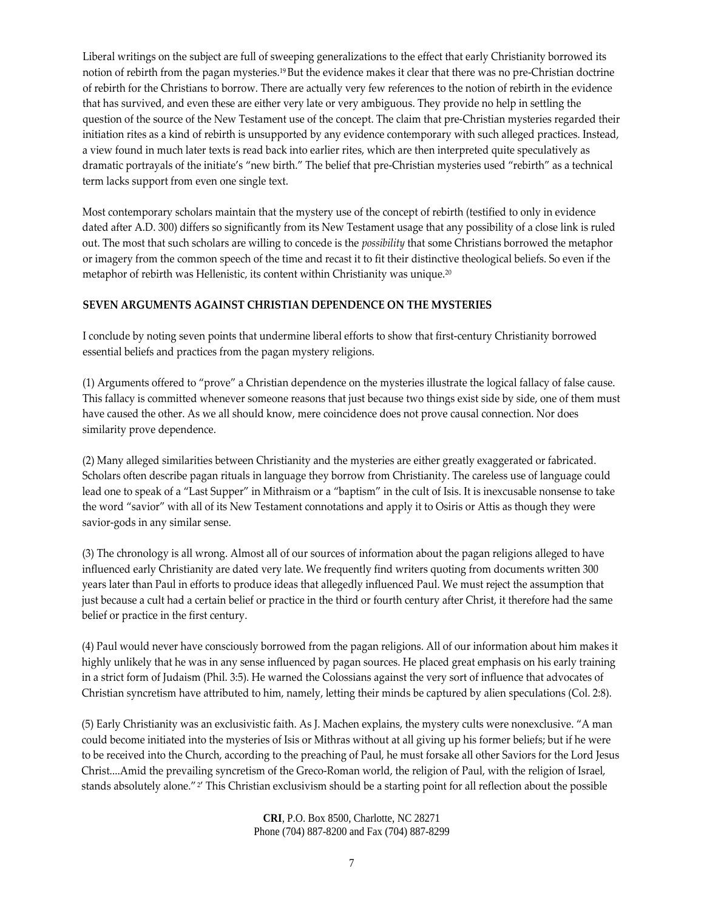Liberal writings on the subject are full of sweeping generalizations to the effect that early Christianity borrowed its notion of rebirth from the pagan mysteries.<sup>19</sup> But the evidence makes it clear that there was no pre-Christian doctrine of rebirth for the Christians to borrow. There are actually very few references to the notion of rebirth in the evidence that has survived, and even these are either very late or very ambiguous. They provide no help in settling the question of the source of the New Testament use of the concept. The claim that pre‐Christian mysteries regarded their initiation rites as a kind of rebirth is unsupported by any evidence contemporary with such alleged practices. Instead, a view found in much later texts is read back into earlier rites, which are then interpreted quite speculatively as dramatic portrayals of the initiate's "new birth." The belief that pre‐Christian mysteries used "rebirth" as a technical term lacks support from even one single text.

Most contemporary scholars maintain that the mystery use of the concept of rebirth (testified to only in evidence dated after A.D. 300) differs so significantly from its New Testament usage that any possibility of a close link is ruled out. The most that such scholars are willing to concede is the *possibility* that some Christians borrowed the metaphor or imagery from the common speech of the time and recast it to fit their distinctive theological beliefs. So even if the metaphor of rebirth was Hellenistic, its content within Christianity was unique.20

## **SEVEN ARGUMENTS AGAINST CHRISTIAN DEPENDENCE ON THE MYSTERIES**

I conclude by noting seven points that undermine liberal efforts to show that first-century Christianity borrowed essential beliefs and practices from the pagan mystery religions.

(1) Arguments offered to "prove" a Christian dependence on the mysteries illustrate the logical fallacy of false cause. This fallacy is committed whenever someone reasons that just because two things exist side by side, one of them must have caused the other. As we all should know, mere coincidence does not prove causal connection. Nor does similarity prove dependence.

(2) Many alleged similarities between Christianity and the mysteries are either greatly exaggerated or fabricated. Scholars often describe pagan rituals in language they borrow from Christianity. The careless use of language could lead one to speak of a "Last Supper" in Mithraism or a "baptism" in the cult of Isis. It is inexcusable nonsense to take the word "savior" with all of its New Testament connotations and apply it to Osiris or Attis as though they were savior‐gods in any similar sense.

(3) The chronology is all wrong. Almost all of our sources of information about the pagan religions alleged to have influenced early Christianity are dated very late. We frequently find writers quoting from documents written 300 years later than Paul in efforts to produce ideas that allegedly influenced Paul. We must reject the assumption that just because a cult had a certain belief or practice in the third or fourth century after Christ, it therefore had the same belief or practice in the first century.

(4) Paul would never have consciously borrowed from the pagan religions. All of our information about him makes it highly unlikely that he was in any sense influenced by pagan sources. He placed great emphasis on his early training in a strict form of Judaism (Phil. 3:5). He warned the Colossians against the very sort of influence that advocates of Christian syncretism have attributed to him, namely, letting their minds be captured by alien speculations (Col. 2:8).

(5) Early Christianity was an exclusivistic faith. As J. Machen explains, the mystery cults were nonexclusive. "A man could become initiated into the mysteries of Isis or Mithras without at all giving up his former beliefs; but if he were to be received into the Church, according to the preaching of Paul, he must forsake all other Saviors for the Lord Jesus Christ....Amid the prevailing syncretism of the Greco‐Roman world, the religion of Paul, with the religion of Israel, stands absolutely alone."<sup>2'</sup> This Christian exclusivism should be a starting point for all reflection about the possible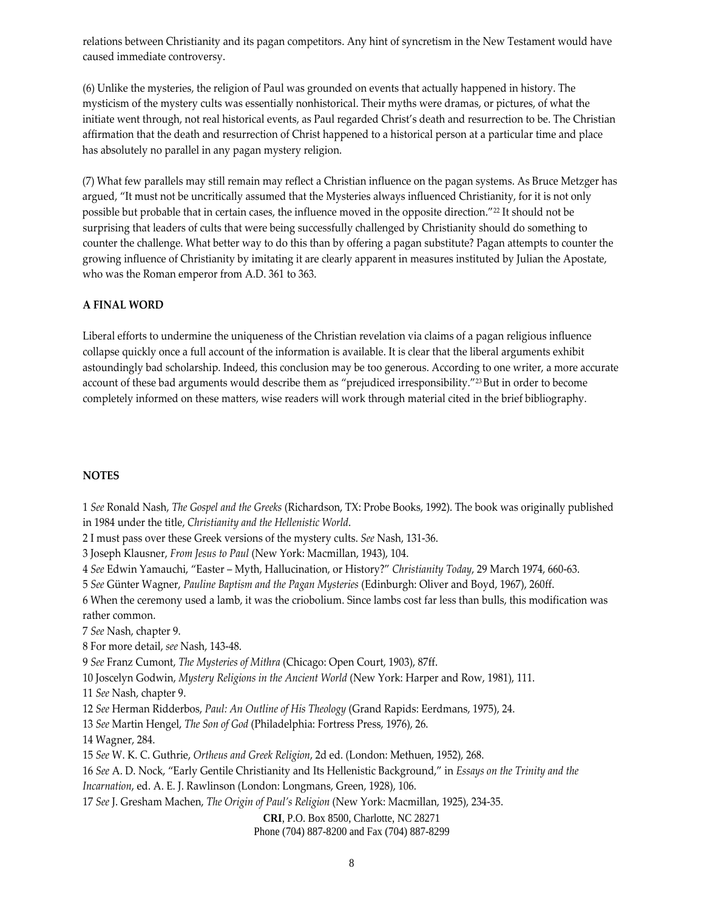relations between Christianity and its pagan competitors. Any hint of syncretism in the New Testament would have caused immediate controversy.

(6) Unlike the mysteries, the religion of Paul was grounded on events that actually happened in history. The mysticism of the mystery cults was essentially nonhistorical. Their myths were dramas, or pictures, of what the initiate went through, not real historical events, as Paul regarded Christ's death and resurrection to be. The Christian affirmation that the death and resurrection of Christ happened to a historical person at a particular time and place has absolutely no parallel in any pagan mystery religion.

(7) What few parallels may still remain may reflect a Christian influence on the pagan systems. As Bruce Metzger has argued, "It must not be uncritically assumed that the Mysteries always influenced Christianity, for it is not only possible but probable that in certain cases, the influence moved in the opposite direction."22 It should not be surprising that leaders of cults that were being successfully challenged by Christianity should do something to counter the challenge. What better way to do this than by offering a pagan substitute? Pagan attempts to counter the growing influence of Christianity by imitating it are clearly apparent in measures instituted by Julian the Apostate, who was the Roman emperor from A.D. 361 to 363.

#### **A FINAL WORD**

Liberal efforts to undermine the uniqueness of the Christian revelation via claims of a pagan religious influence collapse quickly once a full account of the information is available. It is clear that the liberal arguments exhibit astoundingly bad scholarship. Indeed, this conclusion may be too generous. According to one writer, a more accurate account of these bad arguments would describe them as "prejudiced irresponsibility."<sup>23</sup>But in order to become completely informed on these matters, wise readers will work through material cited in the brief bibliography.

#### **NOTES**

1 *See* Ronald Nash, *The Gospel and the Greeks* (Richardson, TX: Probe Books, 1992). The book was originally published in 1984 under the title, *Christianity and the Hellenistic World*.

2 I must pass over these Greek versions of the mystery cults. *See* Nash, 131‐36.

3 Joseph Klausner, *From Jesus to Paul* (New York: Macmillan, 1943), 104.

4 *See* Edwin Yamauchi, "Easter – Myth, Hallucination, or History?" *Christianity Today*, 29 March 1974, 660‐63.

5 *See* Günter Wagner, *Pauline Baptism and the Pagan Mysteries* (Edinburgh: Oliver and Boyd, 1967), 260ff.

6 When the ceremony used a lamb, it was the criobolium. Since lambs cost far less than bulls, this modification was rather common.

7 *See* Nash, chapter 9.

8 For more detail, *see* Nash, 143‐48.

9 *See* Franz Cumont, *The Mysteries of Mithra* (Chicago: Open Court, 1903), 87ff.

10 Joscelyn Godwin, *Mystery Religions in the Ancient World* (New York: Harper and Row, 1981), 111.

11 *See* Nash, chapter 9.

12 *See* Herman Ridderbos, *Paul: An Outline of His Theology* (Grand Rapids: Eerdmans, 1975), 24.

13 *See* Martin Hengel, *The Son of God* (Philadelphia: Fortress Press, 1976), 26.

14 Wagner, 284.

15 *See* W. K. C. Guthrie, *Ortheus and Greek Religion*, 2d ed. (London: Methuen, 1952), 268.

16 *See* A. D. Nock, "Early Gentile Christianity and Its Hellenistic Background," in *Essays on the Trinity and the*

*Incarnation*, ed. A. E. J. Rawlinson (London: Longmans, Green, 1928), 106.

17 *See* J. Gresham Machen, *The Origin of Paul's Religion* (New York: Macmillan, 1925), 234‐35.

**CRI**, P.O. Box 8500, Charlotte, NC 28271

Phone (704) 887-8200 and Fax (704) 887-8299